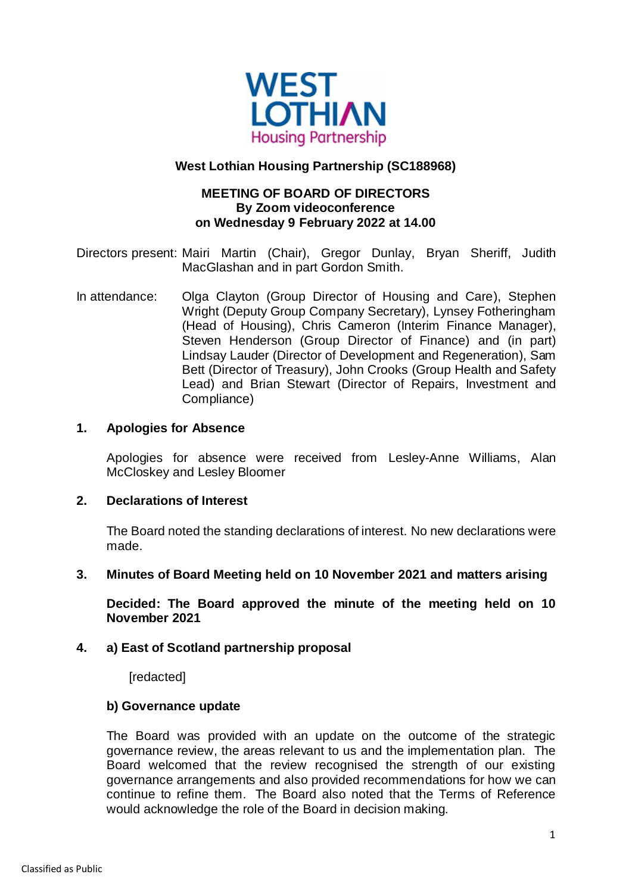

### **West Lothian Housing Partnership (SC188968)**

# **MEETING OF BOARD OF DIRECTORS By Zoom videoconference on Wednesday 9 February 2022 at 14.00**

Directors present: Mairi Martin (Chair), Gregor Dunlay, Bryan Sheriff, Judith MacGlashan and in part Gordon Smith.

In attendance: Olga Clayton (Group Director of Housing and Care), Stephen Wright (Deputy Group Company Secretary), Lynsey Fotheringham (Head of Housing), Chris Cameron (Interim Finance Manager), Steven Henderson (Group Director of Finance) and (in part) Lindsay Lauder (Director of Development and Regeneration), Sam Bett (Director of Treasury), John Crooks (Group Health and Safety Lead) and Brian Stewart (Director of Repairs, Investment and Compliance)

### **1. Apologies for Absence**

Apologies for absence were received from Lesley-Anne Williams, Alan McCloskey and Lesley Bloomer

### **2. Declarations of Interest**

The Board noted the standing declarations of interest. No new declarations were made.

### **3. Minutes of Board Meeting held on 10 November 2021 and matters arising**

**Decided: The Board approved the minute of the meeting held on 10 November 2021**

### **4. a) East of Scotland partnership proposal**

[redacted]

### **b) Governance update**

The Board was provided with an update on the outcome of the strategic governance review, the areas relevant to us and the implementation plan. The Board welcomed that the review recognised the strength of our existing governance arrangements and also provided recommendations for how we can continue to refine them. The Board also noted that the Terms of Reference would acknowledge the role of the Board in decision making.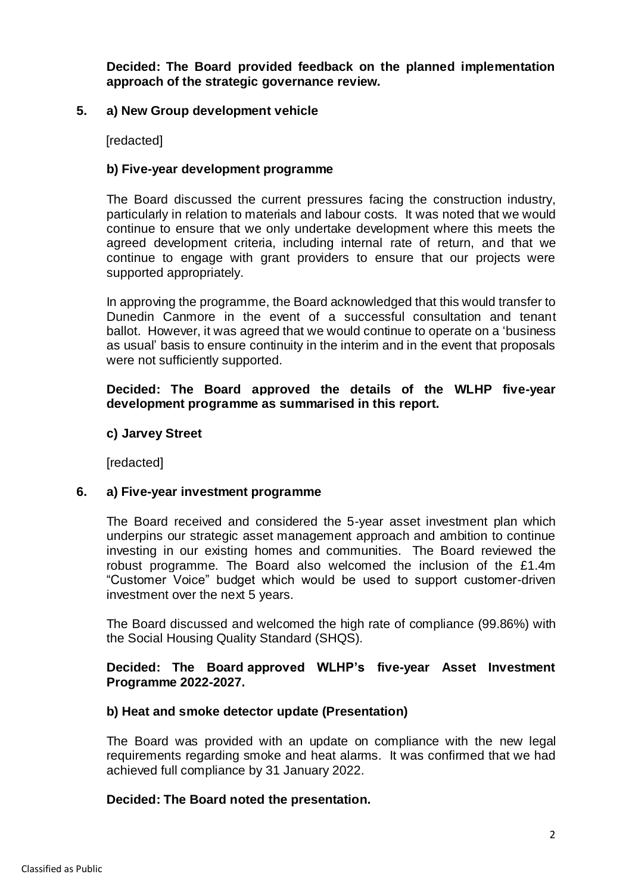**Decided: The Board provided feedback on the planned implementation approach of the strategic governance review.**

# **5. a) New Group development vehicle**

[redacted]

### **b) Five-year development programme**

The Board discussed the current pressures facing the construction industry, particularly in relation to materials and labour costs. It was noted that we would continue to ensure that we only undertake development where this meets the agreed development criteria, including internal rate of return, and that we continue to engage with grant providers to ensure that our projects were supported appropriately.

In approving the programme, the Board acknowledged that this would transfer to Dunedin Canmore in the event of a successful consultation and tenant ballot. However, it was agreed that we would continue to operate on a 'business as usual' basis to ensure continuity in the interim and in the event that proposals were not sufficiently supported.

### **Decided: The Board approved the details of the WLHP five-year development programme as summarised in this report.**

### **c) Jarvey Street**

**[**redacted]

# **6. a) Five-year investment programme**

The Board received and considered the 5-year asset investment plan which underpins our strategic asset management approach and ambition to continue investing in our existing homes and communities. The Board reviewed the robust programme. The Board also welcomed the inclusion of the £1.4m "Customer Voice" budget which would be used to support customer-driven investment over the next 5 years.

The Board discussed and welcomed the high rate of compliance (99.86%) with the Social Housing Quality Standard (SHQS).

# **Decided: The Board approved WLHP's five-year Asset Investment Programme 2022-2027.**

# **b) Heat and smoke detector update (Presentation)**

The Board was provided with an update on compliance with the new legal requirements regarding smoke and heat alarms. It was confirmed that we had achieved full compliance by 31 January 2022.

### **Decided: The Board noted the presentation.**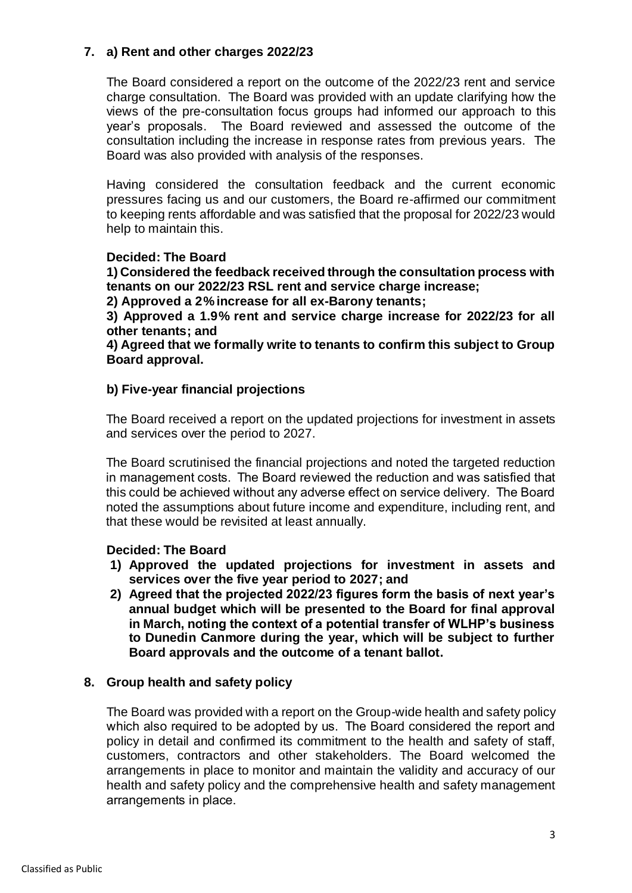# **7. a) Rent and other charges 2022/23**

The Board considered a report on the outcome of the 2022/23 rent and service charge consultation. The Board was provided with an update clarifying how the views of the pre-consultation focus groups had informed our approach to this year's proposals. The Board reviewed and assessed the outcome of the consultation including the increase in response rates from previous years. The Board was also provided with analysis of the responses.

Having considered the consultation feedback and the current economic pressures facing us and our customers, the Board re-affirmed our commitment to keeping rents affordable and was satisfied that the proposal for 2022/23 would help to maintain this.

# **Decided: The Board**

**1) Considered the feedback received through the consultation process with tenants on our 2022/23 RSL rent and service charge increase;**

**2) Approved a 2% increase for all ex-Barony tenants;**

**3) Approved a 1.9% rent and service charge increase for 2022/23 for all other tenants; and**

**4) Agreed that we formally write to tenants to confirm this subject to Group Board approval.**

# **b) Five-year financial projections**

The Board received a report on the updated projections for investment in assets and services over the period to 2027.

The Board scrutinised the financial projections and noted the targeted reduction in management costs.  The Board reviewed the reduction and was satisfied that this could be achieved without any adverse effect on service delivery.  The Board noted the assumptions about future income and expenditure, including rent, and that these would be revisited at least annually.

### **Decided: The Board**

- **1) Approved the updated projections for investment in assets and services over the five year period to 2027; and**
- **2) Agreed that the projected 2022/23 figures form the basis of next year's annual budget which will be presented to the Board for final approval in March, noting the context of a potential transfer of WLHP's business to Dunedin Canmore during the year, which will be subject to further Board approvals and the outcome of a tenant ballot.**

# **8. Group health and safety policy**

The Board was provided with a report on the Group-wide health and safety policy which also required to be adopted by us.  The Board considered the report and policy in detail and confirmed its commitment to the health and safety of staff, customers, contractors and other stakeholders. The Board welcomed the arrangements in place to monitor and maintain the validity and accuracy of our health and safety policy and the comprehensive health and safety management arrangements in place.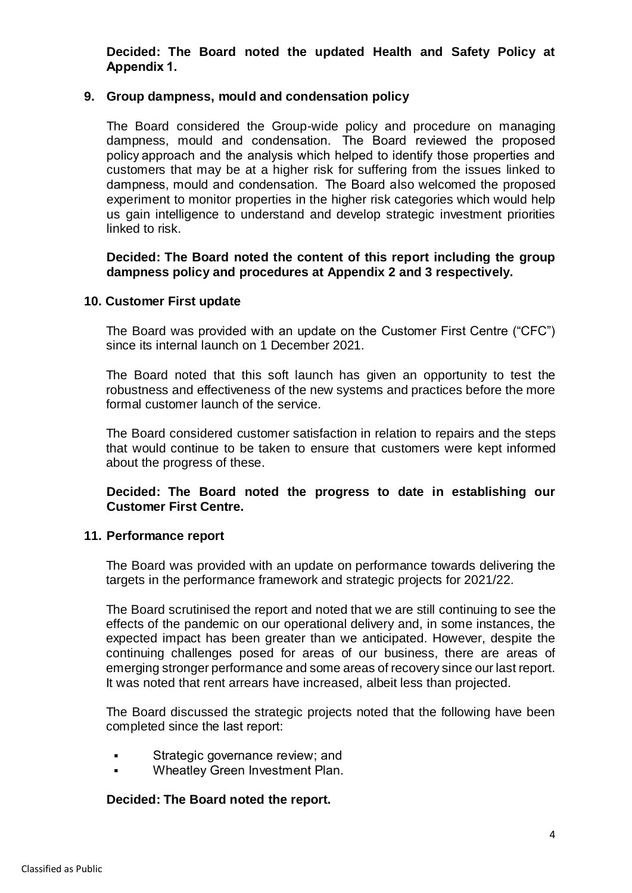**Decided: The Board noted the updated Health and Safety Policy at Appendix 1.**

### **9. Group dampness, mould and condensation policy**

The Board considered the Group-wide policy and procedure on managing dampness, mould and condensation.  The Board reviewed the proposed policy approach and the analysis which helped to identify those properties and customers that may be at a higher risk for suffering from the issues linked to dampness, mould and condensation.  The Board also welcomed the proposed experiment to monitor properties in the higher risk categories which would help us gain intelligence to understand and develop strategic investment priorities linked to risk.

### **Decided: The Board noted the content of this report including the group dampness policy and procedures at Appendix 2 and 3 respectively.**

### **10. Customer First update**

The Board was provided with an update on the Customer First Centre ("CFC") since its internal launch on 1 December 2021.

The Board noted that this soft launch has given an opportunity to test the robustness and effectiveness of the new systems and practices before the more formal customer launch of the service.

The Board considered customer satisfaction in relation to repairs and the steps that would continue to be taken to ensure that customers were kept informed about the progress of these.

# **Decided: The Board noted the progress to date in establishing our Customer First Centre.**

### **11. Performance report**

The Board was provided with an update on performance towards delivering the targets in the performance framework and strategic projects for 2021/22.

The Board scrutinised the report and noted that we are still continuing to see the effects of the pandemic on our operational delivery and, in some instances, the expected impact has been greater than we anticipated. However, despite the continuing challenges posed for areas of our business, there are areas of emerging stronger performance and some areas of recovery since our last report. It was noted that rent arrears have increased, albeit less than projected.

The Board discussed the strategic projects noted that the following have been completed since the last report: 

- Strategic governance review; and
- Wheatley Green Investment Plan.

### **Decided: The Board noted the report.**